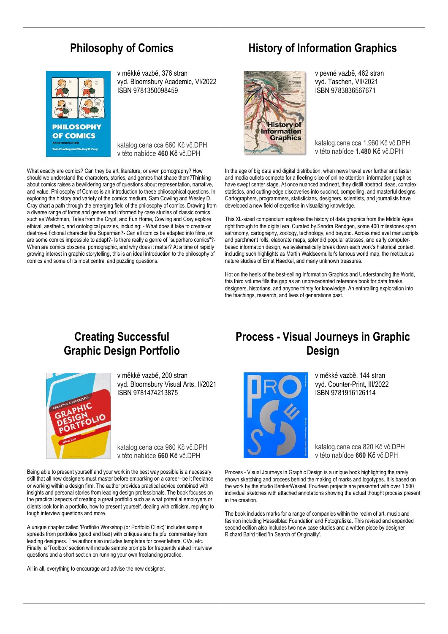#### **Philosophy of Comics**



v měkké vazbě, 376 stran vyd. Bloomsbury Academic, VI/2022 ISBN 9781350098459

katalog.cena cca 660 Kč vč.DPH v této nabídce **460 Kč** vč.DPH

What exactly are comics? Can they be art, literature, or even pornography? How should we understand the characters, stories, and genres that shape them?Thinking about comics raises a bewildering range of questions about representation, narrative, and value. Philosophy of Comics is an introduction to these philosophical questions. In exploring the history and variety of the comics medium, Sam Cowling and Wesley D. Cray chart a path through the emerging field of the philosophy of comics. Drawing from a diverse range of forms and genres and informed by case studies of classic comics such as Watchmen, Tales from the Crypt, and Fun Home, Cowling and Cray explore ethical, aesthetic, and ontological puzzles, including: - What does it take to create-or destroy-a fictional character like Superman?- Can all comics be adapted into films, or are some comics impossible to adapt?- Is there really a genre of "superhero comics"?- When are comics obscene, pornographic, and why does it matter? At a time of rapidly growing interest in graphic storytelling, this is an ideal introduction to the philosophy of comics and some of its most central and puzzling questions.

#### **History of Information Graphics**



v pevné vazbě, 462 stran vyd. Taschen, VII/2021 ISBN 9783836567671

katalog.cena cca 1.960 Kč vč.DPH v této nabídce **1.480 Kč** vč.DPH

In the age of big data and digital distribution, when news travel ever further and faster and media outlets compete for a fleeting slice of online attention, information graphics have swept center stage. At once nuanced and neat, they distill abstract ideas, complex statistics, and cutting-edge discoveries into succinct, compelling, and masterful designs. Cartographers, programmers, statisticians, designers, scientists, and journalists have developed a new field of expertise in visualizing knowledge.

This XL-sized compendium explores the history of data graphics from the Middle Ages right through to the digital era. Curated by Sandra Rendgen, some 400 milestones span astronomy, cartography, zoology, technology, and beyond. Across medieval manuscripts and parchment rolls, elaborate maps, splendid popular atlasses, and early computerbased information design, we systematically break down each work's historical context, including such highlights as Martin Waldseemuller's famous world map, the meticulous nature studies of Ernst Haeckel, and many unknown treasures.

Hot on the heels of the best-selling Information Graphics and Understanding the World, this third volume fills the gap as an unprecedented reference book for data freaks. designers, historians, and anyone thirsty for knowledge. An enthralling exploration into the teachings, research, and lives of generations past.

#### **Creating Successful Graphic Design Portfolio**



v měkké vazbě, 200 stran vyd. Bloomsbury Visual Arts, II/2021 ISBN 9781474213875

katalog.cena cca 960 Kč vč.DPH v této nabídce **660 Kč** vč.DPH

Being able to present yourself and your work in the best way possible is a necessary skill that all new designers must master before embarking on a career--be it freelance or working within a design firm. The author provides practical advice combined with insights and personal stories from leading design professionals. The book focuses on the practical aspects of creating a great portfolio such as what potential employers or clients look for in a portfolio, how to present yourself, dealing with criticism, replying to tough interview questions and more.

A unique chapter called 'Portfolio Workshop (or Portfolio Clinic)' includes sample spreads from portfolios (good and bad) with critiques and helpful commentary from leading designers. The author also includes templates for cover letters, CVs, etc. Finally, a 'Toolbox' section will include sample prompts for frequently asked interview questions and a short section on running your own freelancing practice.

All in all, everything to encourage and advise the new designer.

#### **Process - Visual Journeys in Graphic Design**



v měkké vazbě, 144 stran vyd. Counter-Print, III/2022 ISBN 9781916126114

katalog.cena cca 820 Kč vč.DPH v této nabídce **660 Kč** vč.DPH

Process - Visual Journeys in Graphic Design is a unique book highlighting the rarely shown sketching and process behind the making of marks and logotypes. It is based on the work by the studio BankerWessel. Fourteen projects are presented with over 1,500 individual sketches with attached annotations showing the actual thought process present in the creation.

The book includes marks for a range of companies within the realm of art, music and fashion including Hasselblad Foundation and Fotografiska. This revised and expanded second edition also includes two new case studies and a written piece by designer Richard Baird titled 'In Search of Originality'.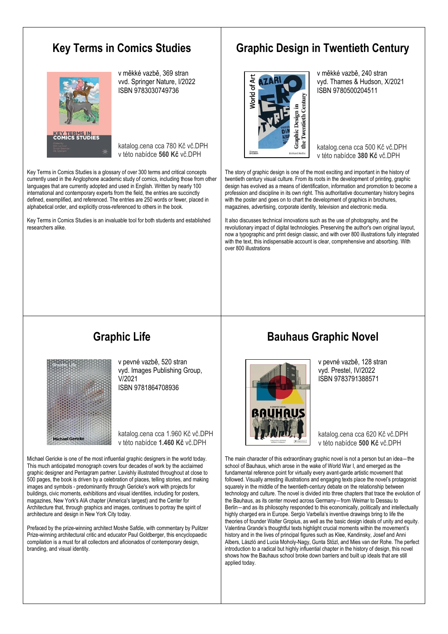#### **Key Terms in Comics Studies**



v měkké vazbě, 369 stran vvd. Springer Nature, I/2022 ISBN 9783030749736

katalog.cena cca 780 Kč vč.DPH v této nabídce **560 Kč** vč.DPH

Key Terms in Comics Studies is a glossary of over 300 terms and critical concepts currently used in the Anglophone academic study of comics, including those from other languages that are currently adopted and used in English. Written by nearly 100 international and contemporary experts from the field, the entries are succinctly defined, exemplified, and referenced. The entries are 250 words or fewer, placed in alphabetical order, and explicitly cross-referenced to others in the book.

Key Terms in Comics Studies is an invaluable tool for both students and established researchers alike.

#### **Graphic Design in Twentieth Century**



v měkké vazbě, 240 stran vyd. Thames & Hudson, X/2021 ISBN 9780500204511

katalog.cena cca 500 Kč vč.DPH v této nabídce **380 Kč** vč.DPH

The story of graphic design is one of the most exciting and important in the history of twentieth century visual culture. From its roots in the development of printing, graphic design has evolved as a means of identification, information and promotion to become a profession and discipline in its own right. This authoritative documentary history begins with the poster and goes on to chart the development of graphics in brochures, magazines, advertising, corporate identity, television and electronic media.

It also discusses technical innovations such as the use of photography, and the revolutionary impact of digital technologies. Preserving the author's own original layout, now a typographic and print design classic, and with over 800 illustrations fully integrated with the text, this indispensable account is clear, comprehensive and absorbing. With over 800 illustrations

### **Graphic Life**



v pevné vazbě, 520 stran vyd. Images Publishing Group, V/2021 ISBN 9781864708936

katalog.cena cca 1.960 Kč vč.DPH v této nabídce **1.460 Kč** vč.DPH

Michael Gericke is one of the most influential graphic designers in the world today. This much anticipated monograph covers four decades of work by the acclaimed graphic designer and Pentagram partner. Lavishly illustrated throughout at close to 500 pages, the book is driven by a celebration of places, telling stories, and making images and symbols - predominantly through Gericke's work with projects for buildings, civic moments, exhibitions and visual identities, including for posters, magazines, New York's AIA chapter (America's largest) and the Center for Architecture that, through graphics and images, continues to portray the spirit of architecture and design in New York City today.

Prefaced by the prize-winning architect Moshe Safdie, with commentary by Pulitzer Prize-winning architectural critic and educator Paul Goldberger, this encyclopaedic compilation is a must for all collectors and aficionados of contemporary design, branding, and visual identity.

#### **Bauhaus Graphic Novel**



v pevné vazbě, 128 stran vyd. Prestel, IV/2022 ISBN 9783791388571

katalog.cena cca 620 Kč vč.DPH v této nabídce **500 Kč** vč.DPH

The main character of this extraordinary graphic novel is not a person but an idea-the school of Bauhaus, which arose in the wake of World War I, and emerged as the fundamental reference point for virtually every avant-garde artistic movement that followed. Visually arresting illustrations and engaging texts place the novel's protagonist squarely in the middle of the twentieth-century debate on the relationship between technology and culture. The novel is divided into three chapters that trace the evolution of the Bauhaus, as its center moved across Germany―from Weimar to Dessau to Berlin―and as its philosophy responded to this economically, politically and intellectually highly charged era in Europe. Sergio Varbella's inventive drawings bring to life the theories of founder Walter Gropius, as well as the basic design ideals of unity and equity. Valentina Grande's thoughtful texts highlight crucial moments within the movement's history and in the lives of principal figures such as Klee, Kandinsky, Josef and Anni Albers, László and Lucia Moholy-Nagy, Gunta Stözl, and Mies van der Rohe. The perfect introduction to a radical but highly influential chapter in the history of design, this novel shows how the Bauhaus school broke down barriers and built up ideals that are still applied today.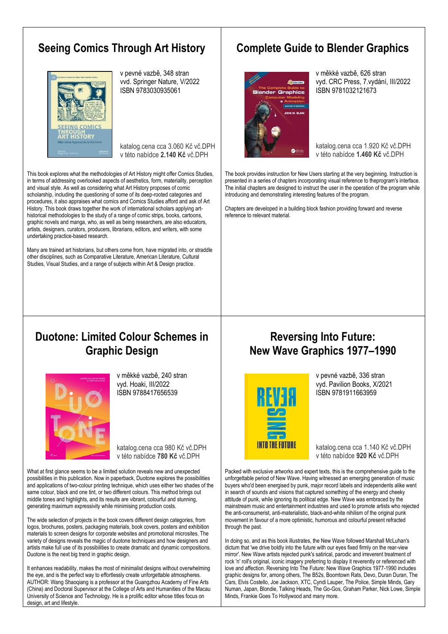#### **Seeing Comics Through Art History**



v pevné vazbě, 348 stran vvd. Springer Nature, V/2022 ISBN 9783030935061

katalog.cena cca 3.060 Kč vč.DPH v této nabídce **2.140 Kč** vč.DPH

This book explores what the methodologies of Art History might offer Comics Studies, in terms of addressing overlooked aspects of aesthetics, form, materiality, perception and visual style. As well as considering what Art History proposes of comic scholarship, including the questioning of some of its deep-rooted categories and procedures, it also appraises what comics and Comics Studies afford and ask of Art History. This book draws together the work of international scholars applying arthistorical methodologies to the study of a range of comic strips, books, cartoons, graphic novels and manga, who, as well as being researchers, are also educators, artists, designers, curators, producers, librarians, editors, and writers, with some undertaking practice-based research.

Many are trained art historians, but others come from, have migrated into, or straddle other disciplines, such as Comparative Literature, American Literature, Cultural Studies, Visual Studies, and a range of subjects within Art & Design practice.

#### **Complete Guide to Blender Graphics**



v měkké vazbě, 626 stran vyd. CRC Press, 7.vydání, III/2022 ISBN 9781032121673

katalog.cena cca 1.920 Kč vč.DPH v této nabídce **1.460 Kč** vč.DPH

The book provides instruction for New Users starting at the very beginning. Instruction is presented in a series of chapters incorporating visual reference to theprogram's interface. The initial chapters are designed to instruct the user in the operation of the program while introducing and demonstrating interesting features of the program.

Chapters are developed in a building block fashion providing forward and reverse reference to relevant material.

#### **Duotone: Limited Colour Schemes in Graphic Design**



v měkké vazbě, 240 stran vyd. Hoaki, III/2022 ISBN 9788417656539

katalog.cena cca 980 Kč vč.DPH v této nabídce **780 Kč** vč.DPH

What at first glance seems to be a limited solution reveals new and unexpected possibilities in this publication. Now in paperback, Duotone explores the possibilities and applications of two-colour printing technique, which uses either two shades of the same colour, black and one tint, or two different colours. This method brings out middle tones and highlights, and its results are vibrant, colourful and stunning, generating maximum expressivity while minimising production costs.

The wide selection of projects in the book covers different design categories, from logos, brochures, posters, packaging materials, book covers, posters and exhibition materials to screen designs for corporate websites and promotional microsites. The variety of designs reveals the magic of duotone techniques and how designers and artists make full use of its possibilities to create dramatic and dynamic compositions. Duotone is the next big trend in graphic design.

It enhances readability, makes the most of minimalist designs without overwhelming the eye, and is the perfect way to effortlessly create unforgettable atmospheres. AUTHOR: Wang Shaoqiang is a professor at the Guangzhou Academy of Fine Arts (China) and Doctoral Supervisor at the College of Arts and Humanities of the Macau University of Science and Technology. He is a prolific editor whose titles focus on design, art and lifestyle.

#### **Reversing Into Future: New Wave Graphics 1977–1990**



v pevné vazbě, 336 stran vyd. Pavilion Books, X/2021 ISBN 9781911663959

katalog.cena cca 1.140 Kč vč.DPH v této nabídce **920 Kč** vč.DPH

Packed with exclusive artworks and expert texts, this is the comprehensive guide to the unforgettable period of New Wave. Having witnessed an emerging generation of music buyers who'd been energised by punk, major record labels and independents alike went in search of sounds and visions that captured something of the energy and cheeky attitude of punk, while ignoring its political edge. New Wave was embraced by the mainstream music and entertainment industries and used to promote artists who rejected the anti-consumerist, anti-materialistic, black-and-white nihilism of the original punk movement in favour of a more optimistic, humorous and colourful present refracted through the past.

In doing so, and as this book illustrates, the New Wave followed Marshall McLuhan's dictum that 'we drive boldly into the future with our eyes fixed firmly on the rear-view mirror'. New Wave artists rejected punk's satirical, parodic and irreverent treatment of rock 'n' roll's original, iconic imagery preferring to display it reverently or referenced with love and affection. Reversing Into The Future: New Wave Graphics 1977-1990 includes graphic designs for, among others, The B52s, Boomtown Rats, Devo, Duran Duran, The Cars, Elvis Costello, Joe Jackson, XTC, Cyndi Lauper, The Police, Simple Minds, Gary Numan, Japan, Blondie, Talking Heads, The Go-Gos, Graham Parker, Nick Lowe, Simple Minds, Frankie Goes To Hollywood and many more.